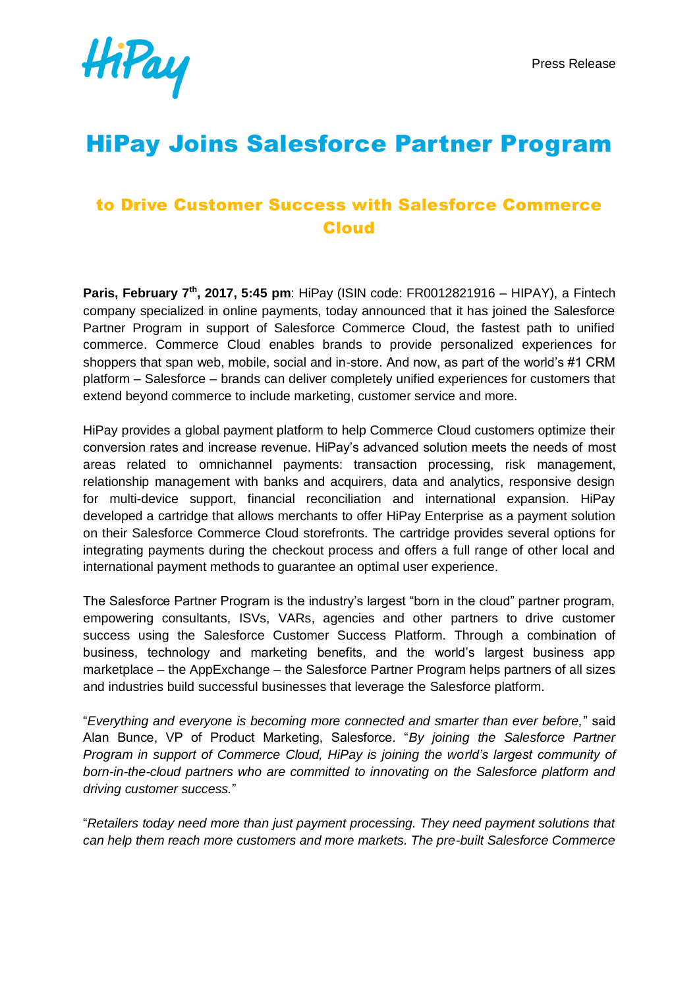

# HiPay Joins Salesforce Partner Program

# to Drive Customer Success with Salesforce Commerce Cloud

**Paris, February 7th, 2017, 5:45 pm**: HiPay (ISIN code: FR0012821916 – HIPAY), a Fintech company specialized in online payments, today announced that it has joined the Salesforce Partner Program in support of Salesforce Commerce Cloud, the fastest path to unified commerce. Commerce Cloud enables brands to provide personalized experiences for shoppers that span web, mobile, social and in-store. And now, as part of the world's #1 CRM platform – Salesforce – brands can deliver completely unified experiences for customers that extend beyond commerce to include marketing, customer service and more.

HiPay provides a global payment platform to help Commerce Cloud customers optimize their conversion rates and increase revenue. HiPay's advanced solution meets the needs of most areas related to omnichannel payments: transaction processing, risk management, relationship management with banks and acquirers, data and analytics, responsive design for multi-device support, financial reconciliation and international expansion. HiPay developed a cartridge that allows merchants to offer HiPay Enterprise as a payment solution on their Salesforce Commerce Cloud storefronts. The cartridge provides several options for integrating payments during the checkout process and offers a full range of other local and international payment methods to guarantee an optimal user experience.

The Salesforce Partner Program is the industry's largest "born in the cloud" partner program, empowering consultants, ISVs, VARs, agencies and other partners to drive customer success using the Salesforce Customer Success Platform. Through a combination of business, technology and marketing benefits, and the world's largest business app marketplace – the AppExchange – the Salesforce Partner Program helps partners of all sizes and industries build successful businesses that leverage the Salesforce platform.

"*Everything and everyone is becoming more connected and smarter than ever before,*" said Alan Bunce, VP of Product Marketing, Salesforce. "*By joining the Salesforce Partner Program in support of Commerce Cloud, HiPay is joining the world's largest community of born-in-the-cloud partners who are committed to innovating on the Salesforce platform and driving customer success.*"

"*Retailers today need more than just payment processing. They need payment solutions that can help them reach more customers and more markets. The pre-built Salesforce Commerce*